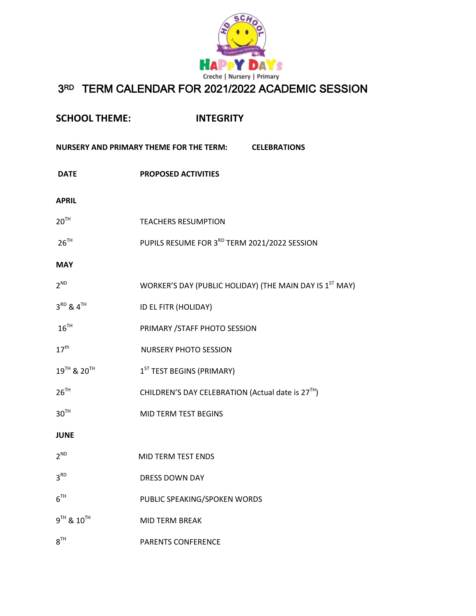

## 3RD TERM CALENDAR FOR 2021/2022 ACADEMIC SESSION

| <b>SCHOOL THEME:</b>                                 | <b>INTEGRITY</b>                                                    |
|------------------------------------------------------|---------------------------------------------------------------------|
| NURSERY AND PRIMARY THEME FOR THE TERM: CELEBRATIONS |                                                                     |
| <b>DATE</b>                                          | <b>PROPOSED ACTIVITIES</b>                                          |
| <b>APRIL</b>                                         |                                                                     |
| 20 <sup>TH</sup>                                     | <b>TEACHERS RESUMPTION</b>                                          |
| $26^{TH}$                                            | PUPILS RESUME FOR 3RD TERM 2021/2022 SESSION                        |
| <b>MAY</b>                                           |                                                                     |
| $2^{ND}$                                             | WORKER'S DAY (PUBLIC HOLIDAY) (THE MAIN DAY IS 1 <sup>ST</sup> MAY) |
| $3^{RD}$ & $4^{TH}$                                  | ID EL FITR (HOLIDAY)                                                |
| $16^{TH}$                                            | PRIMARY / STAFF PHOTO SESSION                                       |
| 17 <sup>th</sup>                                     | <b>NURSERY PHOTO SESSION</b>                                        |
| 19 <sup>TH</sup> & 20 <sup>TH</sup>                  | 1 <sup>ST</sup> TEST BEGINS (PRIMARY)                               |
| $26^{TH}$                                            | CHILDREN'S DAY CELEBRATION (Actual date is 27 <sup>TH</sup> )       |
| 30 <sup>TH</sup>                                     | MID TERM TEST BEGINS                                                |
| <b>JUNE</b>                                          |                                                                     |
| $2^{ND}$                                             | MID TERM TEST ENDS                                                  |
| 3 <sup>RD</sup>                                      | <b>DRESS DOWN DAY</b>                                               |
| 6 <sup>TH</sup>                                      | PUBLIC SPEAKING/SPOKEN WORDS                                        |
| $9^{TH}$ & $10^{TH}$                                 | <b>MID TERM BREAK</b>                                               |
| $8^{TH}$                                             | <b>PARENTS CONFERENCE</b>                                           |